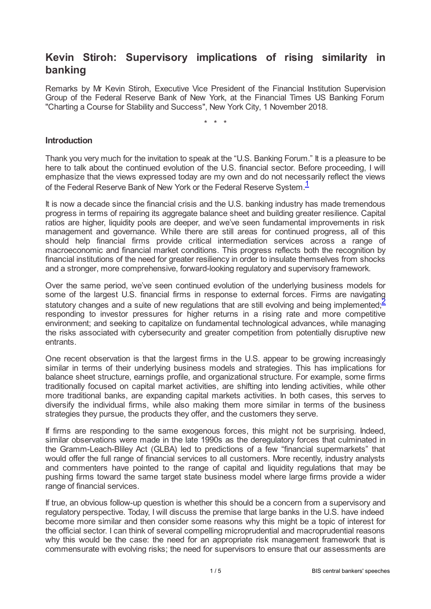# **Kevin Stiroh: Supervisory implications of rising similarity in banking**

Remarks by Mr Kevin Stiroh, Executive Vice President of the Financial Institution Supervision Group of the Federal Reserve Bank of New York, at the Financial Times US Banking Forum "Charting a Course for Stability and Success", New York City, 1 November 2018.

<span id="page-0-1"></span><span id="page-0-0"></span>\* \* \*

#### **Introduction**

Thank you very much for the invitation to speak at the "U.S. Banking Forum." It is a pleasure to be here to talk about the continued evolution of the U.S. financial sector. Before proceeding, I will emphasize that the views expressed today are my own and do not necessarily reflect the views of the Federal Reserve Bank of New York or the Federal Reserve System.<sup>[1](#page-4-0)</sup>

It is now a decade since the financial crisis and the U.S. banking industry has made tremendous progress in terms of repairing its aggregate balance sheet and building greater resilience. Capital ratios are higher, liquidity pools are deeper, and we've seen fundamental improvements in risk management and governance. While there are still areas for continued progress, all of this should help financial firms provide critical intermediation services across a range of macroeconomic and financial market conditions. This progress reflects both the recognition by financial institutions of the need for greater resiliency in order to insulate themselves from shocks and a stronger, more comprehensive, forward-looking regulatory and supervisory framework.

Over the same period, we've seen continued evolution of the underlying business models for some of the largest U.S. financial firms in response to external forces. Firms are navigating statutory changes and a suite of new regulations that are still evolving and being implemented;<sup>[2](#page-4-1)</sup> responding to investor pressures for higher returns in a rising rate and more competitive environment; and seeking to capitalize on fundamental technological advances, while managing the risks associated with cybersecurity and greater competition from potentially disruptive new entrants.

One recent observation is that the largest firms in the U.S. appear to be growing increasingly similar in terms of their underlying business models and strategies. This has implications for balance sheet structure, earnings profile, and organizational structure. For example, some firms traditionally focused on capital market activities, are shifting into lending activities, while other more traditional banks, are expanding capital markets activities. In both cases, this serves to diversify the individual firms, while also making them more similar in terms of the business strategies they pursue, the products they offer, and the customers they serve.

If firms are responding to the same exogenous forces, this might not be surprising. Indeed, similar observations were made in the late 1990s as the deregulatory forces that culminated in the Gramm-Leach-Bliley Act (GLBA) led to predictions of a few "financial supermarkets" that would offer the full range of financial services to all customers. More recently, industry analysts and commenters have pointed to the range of capital and liquidity regulations that may be pushing firms toward the same target state business model where large firms provide a wider range of financial services.

If true, an obvious follow-up question is whether this should be a concern from a supervisory and regulatory perspective. Today, I will discuss the premise that large banks in the U.S. have indeed become more similar and then consider some reasons why this might be a topic of interest for the official sector. I can think of several compelling microprudential and macroprudential reasons why this would be the case: the need for an appropriate risk management framework that is commensurate with evolving risks; the need for supervisors to ensure that our assessments are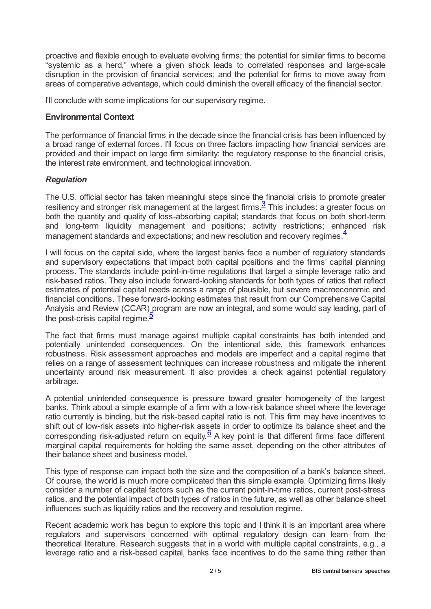proactive and flexible enough to evaluate evolving firms; the potential for similar firms to become "systemic as a herd," where a given shock leads to correlated responses and large-scale disruption in the provision of financial services; and the potential for firms to move away from areas of comparative advantage, which could diminish the overall efficacy of the financial sector.

I'll conclude with some implications for our supervisory regime.

## **Environmental Context**

The performance of financial firms in the decade since the financial crisis has been influenced by a broad range of external forces. I'll focus on three factors impacting how financial services are provided and their impact on large firm similarity: the regulatory response to the financial crisis, the interest rate environment, and technological innovation.

## *Regulation*

<span id="page-1-0"></span>The U.S. official sector has taken meaningful steps since the financial crisis to promote greater resiliency and stronger risk management at the largest firms. $\frac{3}{2}$  $\frac{3}{2}$  $\frac{3}{2}$  This includes: a greater focus on both the quantity and quality of loss-absorbing capital; standards that focus on both short-term and long-term liquidity management and positions; activity restrictions; enhanced risk management standards and expectations; and new resolution and recovery regimes.<sup>[4](#page-4-3)</sup>

<span id="page-1-1"></span>I will focus on the capital side, where the largest banks face a number of regulatory standards and supervisory expectations that impact both capital positions and the firms' capital planning process. The standards include point-in-time regulations that target a simple leverage ratio and risk-based ratios. They also include forward-looking standards for both types of ratios that reflect estimates of potential capital needs across a range of plausible, but severe macroeconomic and financial conditions. These forward-looking estimates that result from our Comprehensive Capital Analysis and Review (CCAR) program are now an integral, and some would say leading, part of the post-crisis capital regime.<sup>[5](#page-4-4)</sup>

<span id="page-1-2"></span>The fact that firms must manage against multiple capital constraints has both intended and potentially unintended consequences. On the intentional side, this framework enhances robustness. Risk assessment approaches and models are imperfect and a capital regime that relies on a range of assessment techniques can increase robustness and mitigate the inherent uncertainty around risk measurement. It also provides a check against potential regulatory arbitrage.

A potential unintended consequence is pressure toward greater homogeneity of the largest banks. Think about a simple example of a firm with a low-risk balance sheet where the leverage ratio currently is binding, but the risk-based capital ratio is not. This firm may have incentives to shift out of low-risk assets into higher-risk assets in order to optimize its balance sheet and the corresponding risk-adjusted return on equity.  $6$  A key point is that different firms face different marginal capital requirements for holding the same asset, depending on the other attributes of their balance sheet and business model.

<span id="page-1-3"></span>This type of response can impact both the size and the composition of a bank's balance sheet. Of course, the world is much more complicated than this simple example. Optimizing firms likely consider a number of capital factors such as the current point-in-time ratios, current post-stress ratios, and the potential impact of both types of ratios in the future, as well as other balance sheet influences such as liquidity ratios and the recovery and resolution regime.

Recent academic work has begun to explore this topic and I think it is an important area where regulators and supervisors concerned with optimal regulatory design can learn from the theoretical literature. Research suggests that in a world with multiple capital constraints, e.g., a leverage ratio and a risk-based capital, banks face incentives to do the same thing rather than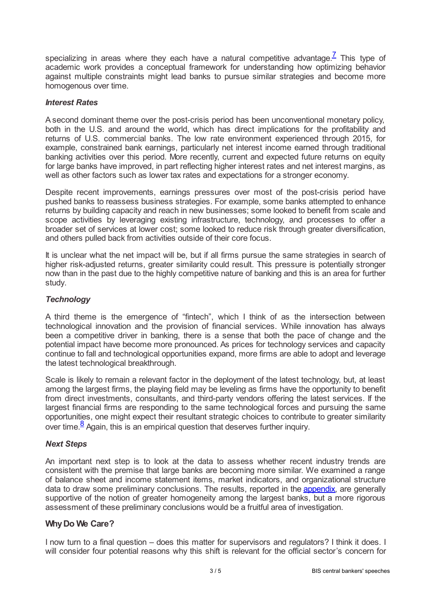<span id="page-2-0"></span>specializing in areas where they each have a natural competitive advantage.<sup>Z</sup> This type of academic work provides a conceptual framework for understanding how optimizing behavior against multiple constraints might lead banks to pursue similar strategies and become more homogenous over time.

#### *Interest Rates*

A second dominant theme over the post-crisis period has been unconventional monetary policy, both in the U.S. and around the world, which has direct implications for the profitability and returns of U.S. commercial banks. The low rate environment experienced through 2015, for example, constrained bank earnings, particularly net interest income earned through traditional banking activities over this period. More recently, current and expected future returns on equity for large banks have improved, in part reflecting higher interest rates and net interest margins, as well as other factors such as lower tax rates and expectations for a stronger economy.

Despite recent improvements, earnings pressures over most of the post-crisis period have pushed banks to reassess business strategies. For example, some banks attempted to enhance returns by building capacity and reach in new businesses; some looked to benefit from scale and scope activities by leveraging existing infrastructure, technology, and processes to offer a broader set of services at lower cost; some looked to reduce risk through greater diversification, and others pulled back from activities outside of their core focus.

It is unclear what the net impact will be, but if all firms pursue the same strategies in search of higher risk-adjusted returns, greater similarity could result. This pressure is potentially stronger now than in the past due to the highly competitive nature of banking and this is an area for further study.

## *Technology*

A third theme is the emergence of "fintech", which I think of as the intersection between technological innovation and the provision of financial services. While innovation has always been a competitive driver in banking, there is a sense that both the pace of change and the potential impact have become more pronounced. As prices for technology services and capacity continue to fall and technological opportunities expand, more firms are able to adopt and leverage the latest technological breakthrough.

Scale is likely to remain a relevant factor in the deployment of the latest technology, but, at least among the largest firms, the playing field may be leveling as firms have the opportunity to benefit from direct investments, consultants, and third-party vendors offering the latest services. If the largest financial firms are responding to the same technological forces and pursuing the same opportunities, one might expect their resultant strategic choices to contribute to greater similarity over time. $\frac{8}{3}$  $\frac{8}{3}$  $\frac{8}{3}$  Again, this is an empirical question that deserves further inquiry.

#### <span id="page-2-1"></span>*Next Steps*

An important next step is to look at the data to assess whether recent industry trends are consistent with the premise that large banks are becoming more similar. We examined a range of balance sheet and income statement items, market indicators, and organizational structure data to draw some preliminary conclusions. The results, reported in the [appendix](www.newyorkfed.org/medialibrary/media/newsevents/speeches/2018/sti181101/appendix.pdf), are generally supportive of the notion of greater homogeneity among the largest banks, but a more rigorous assessment of these preliminary conclusions would be a fruitful area of investigation.

#### **WhyDo We Care?**

I now turn to a final question – does this matter for supervisors and regulators? I think it does. I will consider four potential reasons why this shift is relevant for the official sector's concern for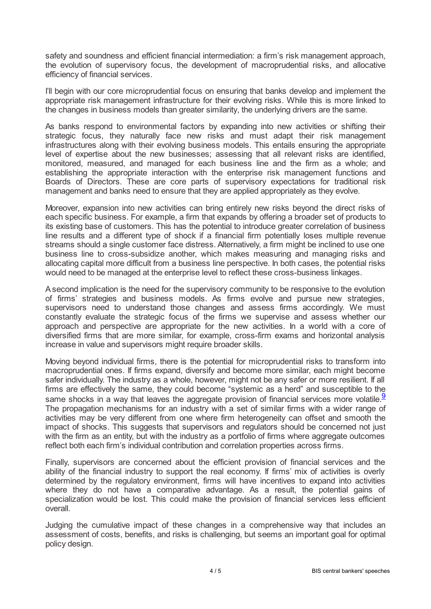safety and soundness and efficient financial intermediation: a firm's risk management approach, the evolution of supervisory focus, the development of macroprudential risks, and allocative efficiency of financial services.

I'll begin with our core microprudential focus on ensuring that banks develop and implement the appropriate risk management infrastructure for their evolving risks. While this is more linked to the changes in business models than greater similarity, the underlying drivers are the same.

As banks respond to environmental factors by expanding into new activities or shifting their strategic focus, they naturally face new risks and must adapt their risk management infrastructures along with their evolving business models. This entails ensuring the appropriate level of expertise about the new businesses; assessing that all relevant risks are identified, monitored, measured, and managed for each business line and the firm as a whole; and establishing the appropriate interaction with the enterprise risk management functions and Boards of Directors. These are core parts of supervisory expectations for traditional risk management and banks need to ensure that they are applied appropriately as they evolve.

Moreover, expansion into new activities can bring entirely new risks beyond the direct risks of each specific business. For example, a firm that expands by offering a broader set of products to its existing base of customers. This has the potential to introduce greater correlation of business line results and a different type of shock if a financial firm potentially loses multiple revenue streams should a single customer face distress. Alternatively, a firm might be inclined to use one business line to cross-subsidize another, which makes measuring and managing risks and allocating capital more difficult from a business line perspective. In both cases, the potential risks would need to be managed at the enterprise level to reflect these cross-business linkages.

Asecond implication is the need for the supervisory community to be responsive to the evolution of firms' strategies and business models. As firms evolve and pursue new strategies, supervisors need to understand those changes and assess firms accordingly. We must constantly evaluate the strategic focus of the firms we supervise and assess whether our approach and perspective are appropriate for the new activities. In a world with a core of diversified firms that are more similar, for example, cross-firm exams and horizontal analysis increase in value and supervisors might require broader skills.

<span id="page-3-0"></span>Moving beyond individual firms, there is the potential for microprudential risks to transform into macroprudential ones. If firms expand, diversify and become more similar, each might become safer individually. The industry as a whole, however, might not be any safer or more resilient. If all firms are effectively the same, they could become "systemic as a herd" and susceptible to the same shocks in a way that leaves the aggregate provision of financial services more volatile  $\frac{9}{5}$  $\frac{9}{5}$  $\frac{9}{5}$ The propagation mechanisms for an industry with a set of similar firms with a wider range of activities may be very different from one where firm heterogeneity can offset and smooth the impact of shocks. This suggests that supervisors and regulators should be concerned not just with the firm as an entity, but with the industry as a portfolio of firms where aggregate outcomes reflect both each firm's individual contribution and correlation properties across firms.

Finally, supervisors are concerned about the efficient provision of financial services and the ability of the financial industry to support the real economy. If firms' mix of activities is overly determined by the regulatory environment, firms will have incentives to expand into activities where they do not have a comparative advantage. As a result, the potential gains of specialization would be lost. This could make the provision of financial services less efficient overall.

Judging the cumulative impact of these changes in a comprehensive way that includes an assessment of costs, benefits, and risks is challenging, but seems an important goal for optimal policy design.